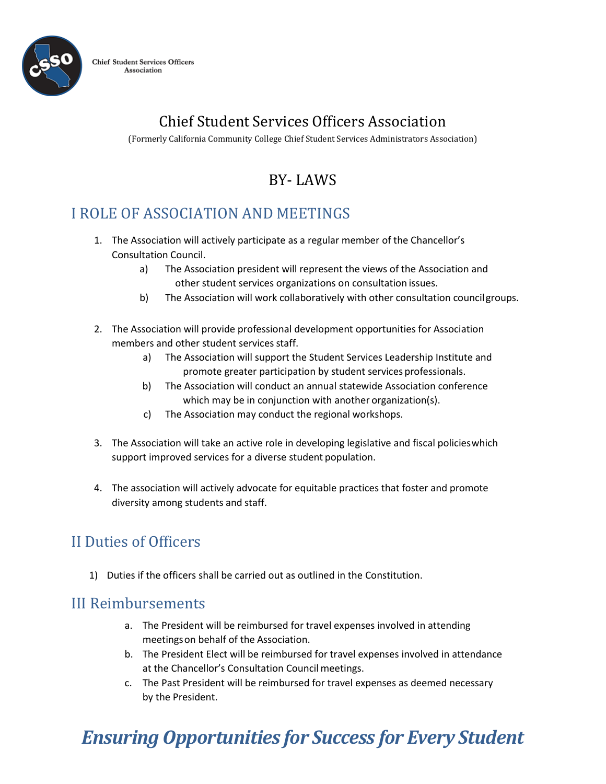

**Chief Student Services Officers** Association

## Chief Student Services Officers Association

(Formerly California Community College Chief Student Services Administrators Association)

## BY- LAWS

## I ROLE OF ASSOCIATION AND MEETINGS

- 1. The Association will actively participate as a regular member of the Chancellor's Consultation Council.
	- a) The Association president will represent the views of the Association and other student services organizations on consultation issues.
	- b) The Association will work collaboratively with other consultation councilgroups.
- 2. The Association will provide professional development opportunities for Association members and other student services staff.
	- a) The Association will support the Student Services Leadership Institute and promote greater participation by student services professionals.
	- b) The Association will conduct an annual statewide Association conference which may be in conjunction with another organization(s).
	- c) The Association may conduct the regional workshops.
- 3. The Association will take an active role in developing legislative and fiscal policieswhich support improved services for a diverse student population.
- 4. The association will actively advocate for equitable practices that foster and promote diversity among students and staff.

### II Duties of Officers

1) Duties if the officers shall be carried out as outlined in the Constitution.

#### III Reimbursements

- a. The President will be reimbursed for travel expenses involved in attending meetingson behalf of the Association.
- b. The President Elect will be reimbursed for travel expenses involved in attendance at the Chancellor's Consultation Council meetings.
- c. The Past President will be reimbursed for travel expenses as deemed necessary by the President.

# *Ensuring Opportunities for Success for Every Student*